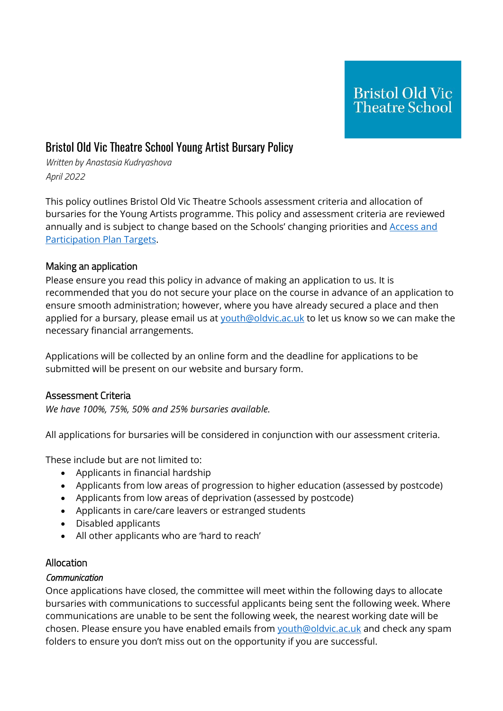# Bristol Old Vic Theatre School Young Artist Bursary Policy

*Written by Anastasia Kudryashova April 2022*

This policy outlines Bristol Old Vic Theatre Schools assessment criteria and allocation of bursaries for the Young Artists programme. This policy and assessment criteria are reviewed annually and is subject to change based on the Schools' changing priorities and Access and [Participation Plan Targets.](http://www.cdd.ac.uk/wp-content/uploads/2019/09/TheConservatoireforDanceandDrama_APP_2020-21_V1_10001653.pdf)

### Making an application

Please ensure you read this policy in advance of making an application to us. It is recommended that you do not secure your place on the course in advance of an application to ensure smooth administration; however, where you have already secured a place and then applied for a bursary, please email us at [youth@oldvic.ac.uk](mailto:youth@oldvic.ac.uk) to let us know so we can make the necessary financial arrangements.

Applications will be collected by an online form and the deadline for applications to be submitted will be present on our website and bursary form.

### Assessment Criteria

*We have 100%, 75%, 50% and 25% bursaries available.* 

All applications for bursaries will be considered in conjunction with our assessment criteria.

These include but are not limited to:

- Applicants in financial hardship
- Applicants from low areas of progression to higher education (assessed by postcode)
- Applicants from low areas of deprivation (assessed by postcode)
- Applicants in care/care leavers or estranged students
- Disabled applicants
- All other applicants who are 'hard to reach'

### Allocation

### *Communication*

Once applications have closed, the committee will meet within the following days to allocate bursaries with communications to successful applicants being sent the following week. Where communications are unable to be sent the following week, the nearest working date will be chosen. Please ensure you have enabled emails from [youth@oldvic.ac.uk](mailto:youth@oldvic.ac.uk) and check any spam folders to ensure you don't miss out on the opportunity if you are successful.